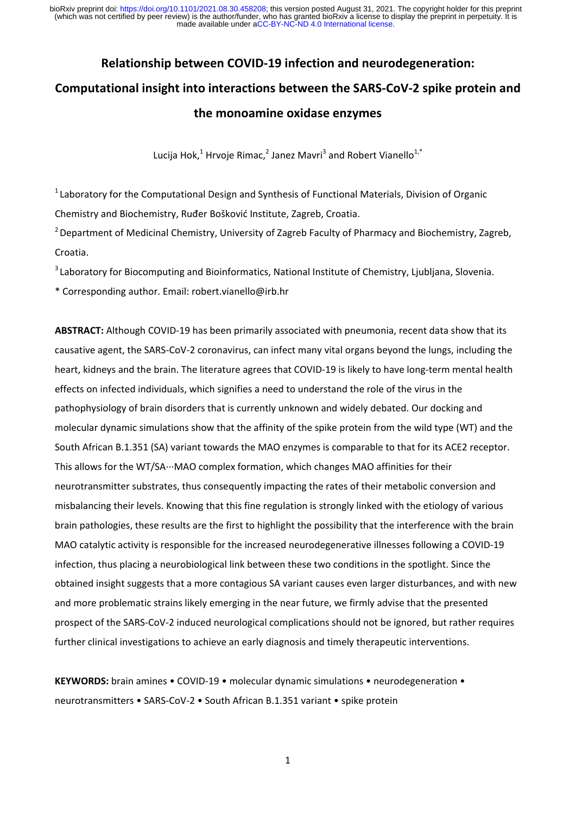# **Relationship between COVID‐19 infection and neurodegeneration: Computational insight into interactions between the SARS‐CoV‐2 spike protein and the monoamine oxidase enzymes**

Lucija Hok, $1$  Hrvoje Rimac, $2$  Janez Mavri $3$  and Robert Vianello $1$ ,\*

 $1$  Laboratory for the Computational Design and Synthesis of Functional Materials, Division of Organic Chemistry and Biochemistry, Ruđer Bošković Institute, Zagreb, Croatia.

<sup>2</sup> Department of Medicinal Chemistry, University of Zagreb Faculty of Pharmacy and Biochemistry, Zagreb, Croatia.

<sup>3</sup> Laboratory for Biocomputing and Bioinformatics, National Institute of Chemistry, Ljubljana, Slovenia.

\* Corresponding author. Email: robert.vianello@irb.hr

**ABSTRACT:** Although COVID‐19 has been primarily associated with pneumonia, recent data show that its causative agent, the SARS‐CoV‐2 coronavirus, can infect many vital organs beyond the lungs, including the heart, kidneys and the brain. The literature agrees that COVID-19 is likely to have long-term mental health effects on infected individuals, which signifies a need to understand the role of the virus in the pathophysiology of brain disorders that is currently unknown and widely debated. Our docking and molecular dynamic simulations show that the affinity of the spike protein from the wild type (WT) and the South African B.1.351 (SA) variant towards the MAO enzymes is comparable to that for its ACE2 receptor. This allows for the WT/SA∙∙∙MAO complex formation, which changes MAO affinities for their neurotransmitter substrates, thus consequently impacting the rates of their metabolic conversion and misbalancing their levels. Knowing that this fine regulation is strongly linked with the etiology of various brain pathologies, these results are the first to highlight the possibility that the interference with the brain MAO catalytic activity is responsible for the increased neurodegenerative illnesses following a COVID‐19 infection, thus placing a neurobiological link between these two conditions in the spotlight. Since the obtained insight suggests that a more contagious SA variant causes even larger disturbances, and with new and more problematic strains likely emerging in the near future, we firmly advise that the presented prospect of the SARS‐CoV‐2 induced neurological complications should not be ignored, but rather requires further clinical investigations to achieve an early diagnosis and timely therapeutic interventions.

**KEYWORDS:** brain amines • COVID‐19 • molecular dynamic simulations • neurodegeneration • neurotransmitters • SARS‐CoV‐2 • South African B.1.351 variant • spike protein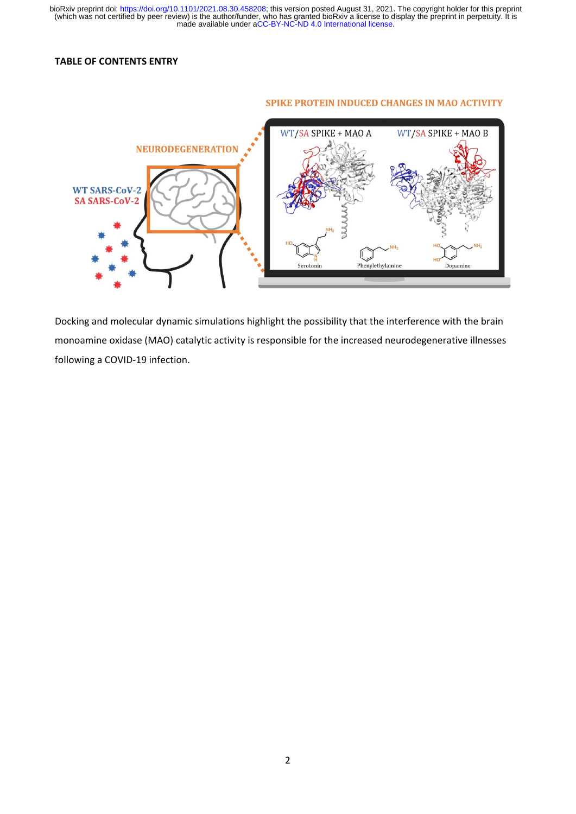### **TABLE OF CONTENTS ENTRY**

#### **SPIKE PROTEIN INDUCED CHANGES IN MAO ACTIVITY**



Docking and molecular dynamic simulations highlight the possibility that the interference with the brain monoamine oxidase (MAO) catalytic activity is responsible for the increased neurodegenerative illnesses following a COVID‐19 infection.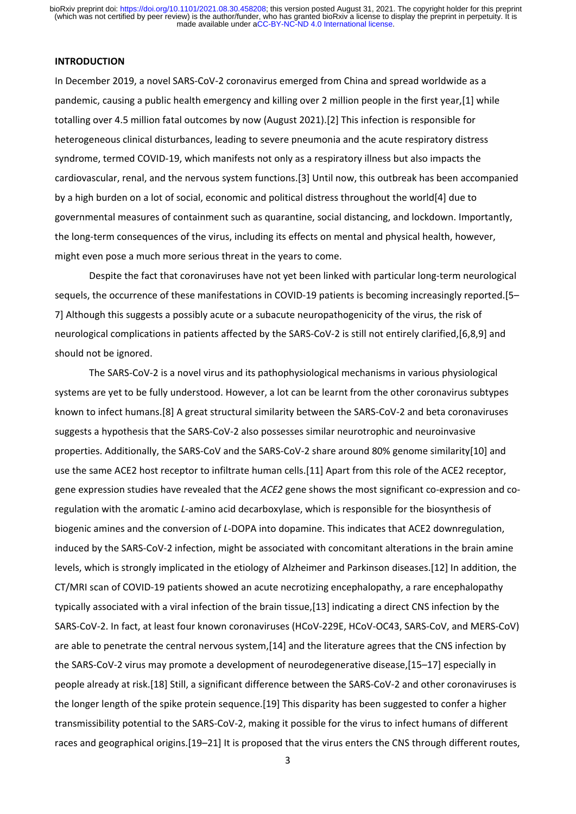### **INTRODUCTION**

In December 2019, a novel SARS‐CoV‐2 coronavirus emerged from China and spread worldwide as a pandemic, causing a public health emergency and killing over 2 million people in the first year,[1] while totalling over 4.5 million fatal outcomes by now (August 2021).[2] This infection is responsible for heterogeneous clinical disturbances, leading to severe pneumonia and the acute respiratory distress syndrome, termed COVID‐19, which manifests not only as a respiratory illness but also impacts the cardiovascular, renal, and the nervous system functions.[3] Until now, this outbreak has been accompanied by a high burden on a lot of social, economic and political distress throughout the world[4] due to governmental measures of containment such as quarantine, social distancing, and lockdown. Importantly, the long‐term consequences of the virus, including its effects on mental and physical health, however, might even pose a much more serious threat in the years to come.

Despite the fact that coronaviruses have not yet been linked with particular long-term neurological sequels, the occurrence of these manifestations in COVID-19 patients is becoming increasingly reported.[5– 7] Although this suggests a possibly acute or a subacute neuropathogenicity of the virus, the risk of neurological complications in patients affected by the SARS‐CoV‐2 is still not entirely clarified,[6,8,9] and should not be ignored.

The SARS‐CoV‐2 is a novel virus and its pathophysiological mechanisms in various physiological systems are yet to be fully understood. However, a lot can be learnt from the other coronavirus subtypes known to infect humans.[8] A great structural similarity between the SARS-CoV-2 and beta coronaviruses suggests a hypothesis that the SARS‐CoV‐2 also possesses similar neurotrophic and neuroinvasive properties. Additionally, the SARS‐CoV and the SARS‐CoV‐2 share around 80% genome similarity[10] and use the same ACE2 host receptor to infiltrate human cells.[11] Apart from this role of the ACE2 receptor, gene expression studies have revealed that the *ACE2* gene shows the most significant co-expression and coregulation with the aromatic *L*‐amino acid decarboxylase, which is responsible for the biosynthesis of biogenic amines and the conversion of *L*‐DOPA into dopamine. This indicates that ACE2 downregulation, induced by the SARS‐CoV‐2 infection, might be associated with concomitant alterations in the brain amine levels, which is strongly implicated in the etiology of Alzheimer and Parkinson diseases.[12] In addition, the CT/MRI scan of COVID‐19 patients showed an acute necrotizing encephalopathy, a rare encephalopathy typically associated with a viral infection of the brain tissue,[13] indicating a direct CNS infection by the SARS‐CoV‐2. In fact, at least four known coronaviruses (HCoV‐229E, HCoV‐OC43, SARS‐CoV, and MERS‐CoV) are able to penetrate the central nervous system,[14] and the literature agrees that the CNS infection by the SARS-CoV-2 virus may promote a development of neurodegenerative disease,[15–17] especially in people already at risk.[18] Still, a significant difference between the SARS‐CoV‐2 and other coronaviruses is the longer length of the spike protein sequence.[19] This disparity has been suggested to confer a higher transmissibility potential to the SARS‐CoV‐2, making it possible for the virus to infect humans of different races and geographical origins.[19–21] It is proposed that the virus enters the CNS through different routes,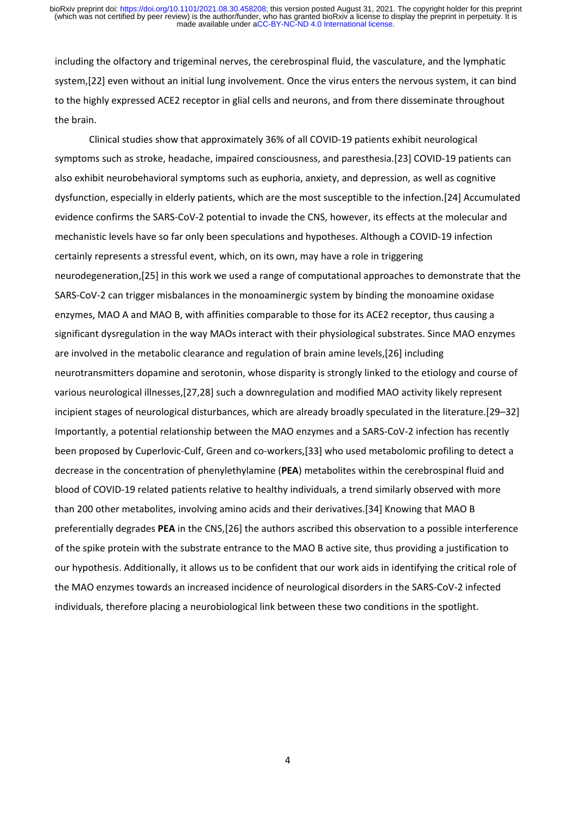including the olfactory and trigeminal nerves, the cerebrospinal fluid, the vasculature, and the lymphatic system,[22] even without an initial lung involvement. Once the virus enters the nervous system, it can bind to the highly expressed ACE2 receptor in glial cells and neurons, and from there disseminate throughout the brain.

Clinical studies show that approximately 36% of all COVID‐19 patients exhibit neurological symptoms such as stroke, headache, impaired consciousness, and paresthesia.[23] COVID‐19 patients can also exhibit neurobehavioral symptoms such as euphoria, anxiety, and depression, as well as cognitive dysfunction, especially in elderly patients, which are the most susceptible to the infection.[24] Accumulated evidence confirms the SARS-CoV-2 potential to invade the CNS, however, its effects at the molecular and mechanistic levels have so far only been speculations and hypotheses. Although a COVID‐19 infection certainly represents a stressful event, which, on its own, may have a role in triggering neurodegeneration,[25] in this work we used a range of computational approaches to demonstrate that the SARS-CoV-2 can trigger misbalances in the monoaminergic system by binding the monoamine oxidase enzymes, MAO A and MAO B, with affinities comparable to those for its ACE2 receptor, thus causing a significant dysregulation in the way MAOs interact with their physiological substrates. Since MAO enzymes are involved in the metabolic clearance and regulation of brain amine levels,[26] including neurotransmitters dopamine and serotonin, whose disparity is strongly linked to the etiology and course of various neurological illnesses,[27,28] such a downregulation and modified MAO activity likely represent incipient stages of neurological disturbances, which are already broadly speculated in the literature.[29–32] Importantly, a potential relationship between the MAO enzymes and a SARS‐CoV‐2 infection has recently been proposed by Cuperlovic-Culf, Green and co-workers,[33] who used metabolomic profiling to detect a decrease in the concentration of phenylethylamine (**PEA**) metabolites within the cerebrospinal fluid and blood of COVID‐19 related patients relative to healthy individuals, a trend similarly observed with more than 200 other metabolites, involving amino acids and their derivatives.[34] Knowing that MAO B preferentially degrades **PEA** in the CNS,[26] the authors ascribed this observation to a possible interference of the spike protein with the substrate entrance to the MAO B active site, thus providing a justification to our hypothesis. Additionally, it allows us to be confident that our work aids in identifying the critical role of the MAO enzymes towards an increased incidence of neurological disorders in the SARS‐CoV‐2 infected individuals, therefore placing a neurobiological link between these two conditions in the spotlight.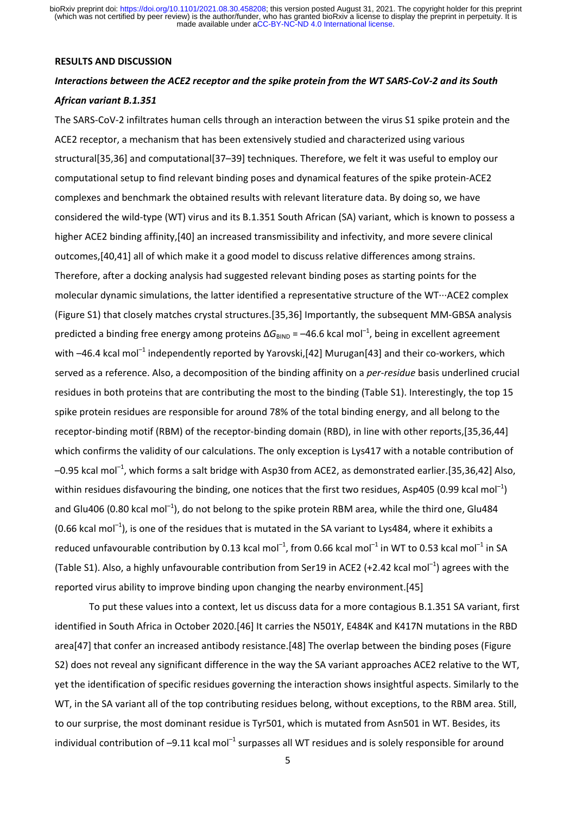#### **RESULTS AND DISCUSSION**

### Interactions between the ACE2 receptor and the spike protein from the WT SARS-CoV-2 and its South *African variant B.1.351*

The SARS-CoV-2 infiltrates human cells through an interaction between the virus S1 spike protein and the ACE2 receptor, a mechanism that has been extensively studied and characterized using various structural[35,36] and computational[37–39] techniques. Therefore, we felt it was useful to employ our computational setup to find relevant binding poses and dynamical features of the spike protein‐ACE2 complexes and benchmark the obtained results with relevant literature data. By doing so, we have considered the wild‐type (WT) virus and its B.1.351 South African (SA) variant, which is known to possess a higher ACE2 binding affinity,[40] an increased transmissibility and infectivity, and more severe clinical outcomes,[40,41] all of which make it a good model to discuss relative differences among strains. Therefore, after a docking analysis had suggested relevant binding poses as starting points for the molecular dynamic simulations, the latter identified a representative structure of the WT∙∙∙ACE2 complex (Figure S1) that closely matches crystal structures.[35,36] Importantly, the subsequent MM‐GBSA analysis predicted a binding free energy among proteins  $\Delta G_{\text{BIND}} = -46.6$  kcal mol<sup>-1</sup>, being in excellent agreement with  $-46.4$  kcal mol<sup>-1</sup> independently reported by Yarovski,[42] Murugan[43] and their co-workers, which served as a reference. Also, a decomposition of the binding affinity on a *per‐residue* basis underlined crucial residues in both proteins that are contributing the most to the binding (Table S1). Interestingly, the top 15 spike protein residues are responsible for around 78% of the total binding energy, and all belong to the receptor‐binding motif (RBM) of the receptor‐binding domain (RBD), in line with other reports,[35,36,44] which confirms the validity of our calculations. The only exception is Lys417 with a notable contribution of  $-0.95$  kcal mol<sup>-1</sup>, which forms a salt bridge with Asp30 from ACE2, as demonstrated earlier.[35,36,42] Also, within residues disfavouring the binding, one notices that the first two residues, Asp405 (0.99 kcal mol<sup>-1</sup>) and Glu406 (0.80 kcal mol<sup>-1</sup>), do not belong to the spike protein RBM area, while the third one, Glu484 (0.66 kcal mol<sup>-1</sup>), is one of the residues that is mutated in the SA variant to Lys484, where it exhibits a reduced unfavourable contribution by 0.13 kcal mol<sup>-1</sup>, from 0.66 kcal mol<sup>-1</sup> in WT to 0.53 kcal mol<sup>-1</sup> in SA (Table S1). Also, a highly unfavourable contribution from Ser19 in ACE2 (+2.42 kcal mol<sup>-1</sup>) agrees with the reported virus ability to improve binding upon changing the nearby environment.[45]

To put these values into a context, let us discuss data for a more contagious B.1.351 SA variant, first identified in South Africa in October 2020.[46] It carries the N501Y, E484K and K417N mutations in the RBD area[47] that confer an increased antibody resistance.[48] The overlap between the binding poses (Figure S2) does not reveal any significant difference in the way the SA variant approaches ACE2 relative to the WT, yet the identification of specific residues governing the interaction shows insightful aspects. Similarly to the WT, in the SA variant all of the top contributing residues belong, without exceptions, to the RBM area. Still, to our surprise, the most dominant residue is Tyr501, which is mutated from Asn501 in WT. Besides, its individual contribution of  $-9.11$  kcal mol<sup>-1</sup> surpasses all WT residues and is solely responsible for around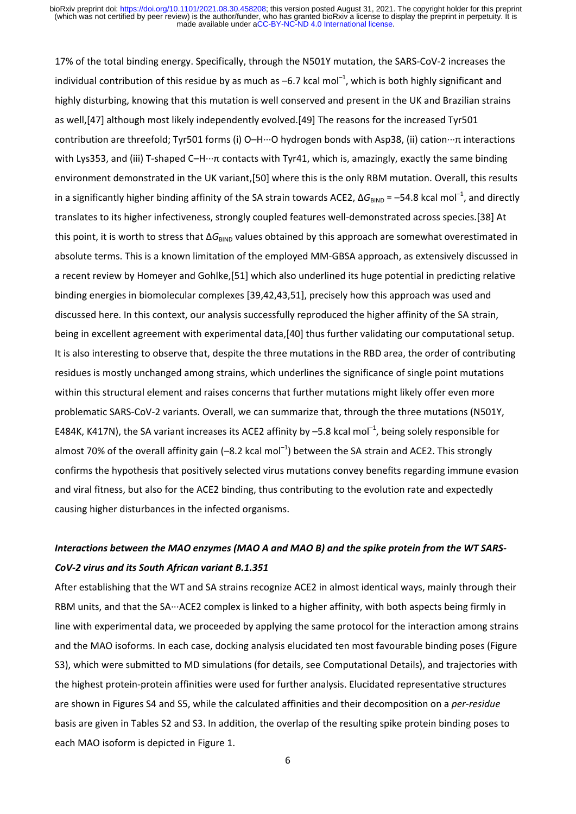17% of the total binding energy. Specifically, through the N501Y mutation, the SARS‐CoV‐2 increases the individual contribution of this residue by as much as  $-6.7$  kcal mol $^{-1}$ , which is both highly significant and highly disturbing, knowing that this mutation is well conserved and present in the UK and Brazilian strains as well,[47] although most likely independently evolved.[49] The reasons for the increased Tyr501 contribution are threefold; Tyr501 forms (i) O–H∙∙∙O hydrogen bonds with Asp38, (ii) cation∙∙∙π interactions with Lys353, and (iii) T-shaped C–H…π contacts with Tyr41, which is, amazingly, exactly the same binding environment demonstrated in the UK variant,[50] where this is the only RBM mutation. Overall, this results in a significantly higher binding affinity of the SA strain towards ACE2,  $\Delta G_{\text{BIND}} = -54.8$  kcal mol<sup>-1</sup>, and directly translates to its higher infectiveness, strongly coupled features well-demonstrated across species.[38] At this point, it is worth to stress that ΔG<sub>BIND</sub> values obtained by this approach are somewhat overestimated in absolute terms. This is a known limitation of the employed MM‐GBSA approach, as extensively discussed in a recent review by Homeyer and Gohlke,[51] which also underlined its huge potential in predicting relative binding energies in biomolecular complexes [39,42,43,51], precisely how this approach was used and discussed here. In this context, our analysis successfully reproduced the higher affinity of the SA strain, being in excellent agreement with experimental data,[40] thus further validating our computational setup. It is also interesting to observe that, despite the three mutations in the RBD area, the order of contributing residues is mostly unchanged among strains, which underlines the significance of single point mutations within this structural element and raises concerns that further mutations might likely offer even more problematic SARS‐CoV‐2 variants. Overall, we can summarize that, through the three mutations (N501Y, E484K, K417N), the SA variant increases its ACE2 affinity by  $-5.8$  kcal mol<sup>-1</sup>, being solely responsible for almost 70% of the overall affinity gain (-8.2 kcal mol<sup>-1</sup>) between the SA strain and ACE2. This strongly confirms the hypothesis that positively selected virus mutations convey benefits regarding immune evasion and viral fitness, but also for the ACE2 binding, thus contributing to the evolution rate and expectedly causing higher disturbances in the infected organisms.

### Interactions between the MAO enzymes (MAO A and MAO B) and the spike protein from the WT SARS-*CoV‐2 virus and its South African variant B.1.351*

After establishing that the WT and SA strains recognize ACE2 in almost identical ways, mainly through their RBM units, and that the SA∙∙∙ACE2 complex is linked to a higher affinity, with both aspects being firmly in line with experimental data, we proceeded by applying the same protocol for the interaction among strains and the MAO isoforms. In each case, docking analysis elucidated ten most favourable binding poses (Figure S3), which were submitted to MD simulations (for details, see Computational Details), and trajectories with the highest protein‐protein affinities were used for further analysis. Elucidated representative structures are shown in Figures S4 and S5, while the calculated affinities and their decomposition on a *per‐residue* basis are given in Tables S2 and S3. In addition, the overlap of the resulting spike protein binding poses to each MAO isoform is depicted in Figure 1.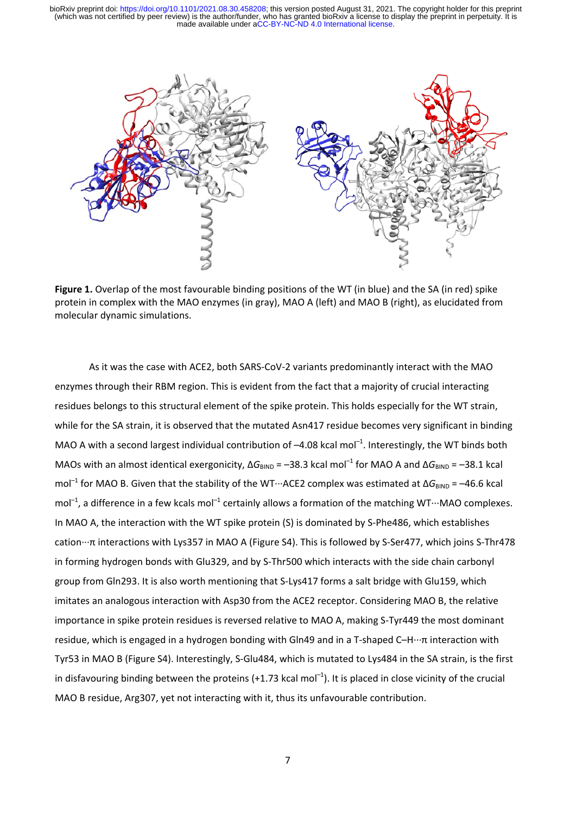

**Figure 1.** Overlap of the most favourable binding positions of the WT (in blue) and the SA (in red) spike protein in complex with the MAO enzymes (in gray), MAO A (left) and MAO B (right), as elucidated from molecular dynamic simulations.

As it was the case with ACE2, both SARS‐CoV‐2 variants predominantly interact with the MAO enzymes through their RBM region. This is evident from the fact that a majority of crucial interacting residues belongs to this structural element of the spike protein. This holds especially for the WT strain, while for the SA strain, it is observed that the mutated Asn417 residue becomes very significant in binding MAO A with a second largest individual contribution of  $-4.08$  kcal mol<sup>-1</sup>. Interestingly, the WT binds both MAOs with an almost identical exergonicity,  $\Delta G_{\text{BIND}} = -38.3$  kcal mol<sup>-1</sup> for MAO A and  $\Delta G_{\text{BIND}} = -38.1$  kcal mol<sup>-1</sup> for MAO B. Given that the stability of the WT⋅⋅⋅ACE2 complex was estimated at ΔG<sub>BIND</sub> = -46.6 kcal mol<sup>-1</sup>, a difference in a few kcals mol<sup>-1</sup> certainly allows a formation of the matching WT⋅⋅⋅MAO complexes. In MAO A, the interaction with the WT spike protein (S) is dominated by S-Phe486, which establishes cation∙∙∙π interactions with Lys357 in MAO A (Figure S4). This is followed by S‐Ser477, which joins S‐Thr478 in forming hydrogen bonds with Glu329, and by S-Thr500 which interacts with the side chain carbonyl group from Gln293. It is also worth mentioning that S‐Lys417 forms a salt bridge with Glu159, which imitates an analogous interaction with Asp30 from the ACE2 receptor. Considering MAO B, the relative importance in spike protein residues is reversed relative to MAO A, making S‐Tyr449 the most dominant residue, which is engaged in a hydrogen bonding with Gln49 and in a T‐shaped C–H∙∙∙π interaction with Tyr53 in MAO B (Figure S4). Interestingly, S‐Glu484, which is mutated to Lys484 in the SA strain, is the first in disfavouring binding between the proteins (+1.73 kcal mol<sup>-1</sup>). It is placed in close vicinity of the crucial MAO B residue, Arg307, yet not interacting with it, thus its unfavourable contribution.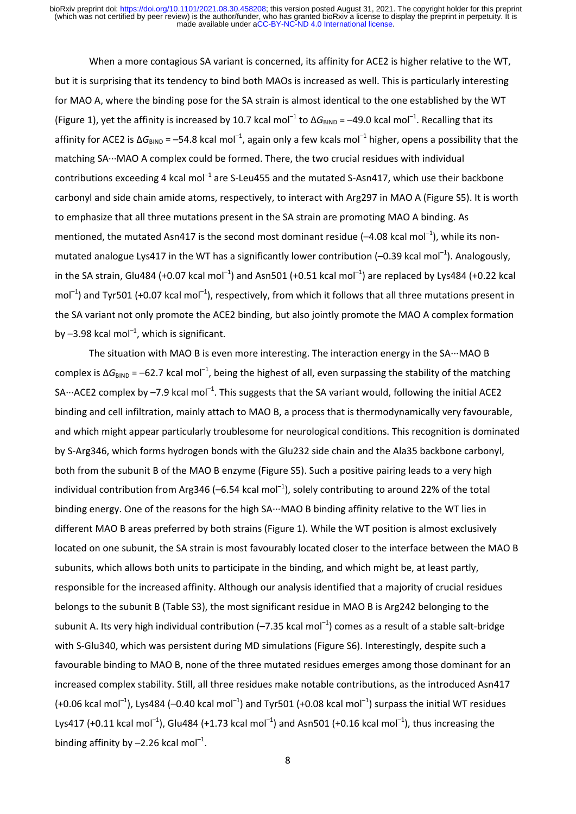When a more contagious SA variant is concerned, its affinity for ACE2 is higher relative to the WT, but it is surprising that its tendency to bind both MAOs is increased as well. This is particularly interesting for MAO A, where the binding pose for the SA strain is almost identical to the one established by the WT (Figure 1), yet the affinity is increased by 10.7 kcal mol<sup>-1</sup> to  $\Delta G_{\text{BIND}} = -49.0$  kcal mol<sup>-1</sup>. Recalling that its affinity for ACE2 is  $\Delta G_{\text{BIND}} = -54.8$  kcal mol<sup>-1</sup>, again only a few kcals mol<sup>-1</sup> higher, opens a possibility that the matching SA∙∙∙MAO A complex could be formed. There, the two crucial residues with individual contributions exceeding 4 kcal mol<sup>-1</sup> are S-Leu455 and the mutated S-Asn417, which use their backbone carbonyl and side chain amide atoms, respectively, to interact with Arg297 in MAO A (Figure S5). It is worth to emphasize that all three mutations present in the SA strain are promoting MAO A binding. As mentioned, the mutated Asn417 is the second most dominant residue  $(-4.08 \text{ kcal mol}^{-1})$ , while its nonmutated analogue Lys417 in the WT has a significantly lower contribution  $(-0.39 \text{ kcal mol}^{-1})$ . Analogously, in the SA strain, Glu484 (+0.07 kcal mol<sup>-1</sup>) and Asn501 (+0.51 kcal mol<sup>-1</sup>) are replaced by Lys484 (+0.22 kcal mol<sup>-1</sup>) and Tyr501 (+0.07 kcal mol<sup>-1</sup>), respectively, from which it follows that all three mutations present in the SA variant not only promote the ACE2 binding, but also jointly promote the MAO A complex formation by  $-3.98$  kcal mol<sup>-1</sup>, which is significant.

The situation with MAO B is even more interesting. The interaction energy in the SA∙∙∙MAO B complex is  $\Delta G_{\text{BIND}} = -62.7$  kcal mol<sup>-1</sup>, being the highest of all, even surpassing the stability of the matching SA…ACE2 complex by –7.9 kcal mol<sup>-1</sup>. This suggests that the SA variant would, following the initial ACE2 binding and cell infiltration, mainly attach to MAO B, a process that is thermodynamically very favourable, and which might appear particularly troublesome for neurological conditions. This recognition is dominated by S‐Arg346, which forms hydrogen bonds with the Glu232 side chain and the Ala35 backbone carbonyl, both from the subunit B of the MAO B enzyme (Figure S5). Such a positive pairing leads to a very high individual contribution from Arg346 (-6.54 kcal mol<sup>-1</sup>), solely contributing to around 22% of the total binding energy. One of the reasons for the high SA∙∙∙MAO B binding affinity relative to the WT lies in different MAO B areas preferred by both strains (Figure 1). While the WT position is almost exclusively located on one subunit, the SA strain is most favourably located closer to the interface between the MAO B subunits, which allows both units to participate in the binding, and which might be, at least partly, responsible for the increased affinity. Although our analysis identified that a majority of crucial residues belongs to the subunit B (Table S3), the most significant residue in MAO B is Arg242 belonging to the subunit A. Its very high individual contribution ( $-7.35$  kcal mol<sup>-1</sup>) comes as a result of a stable salt-bridge with S-Glu340, which was persistent during MD simulations (Figure S6). Interestingly, despite such a favourable binding to MAO B, none of the three mutated residues emerges among those dominant for an increased complex stability. Still, all three residues make notable contributions, as the introduced Asn417 (+0.06 kcal mol<sup>-1</sup>), Lys484 (-0.40 kcal mol<sup>-1</sup>) and Tyr501 (+0.08 kcal mol<sup>-1</sup>) surpass the initial WT residues Lys417 (+0.11 kcal mol<sup>-1</sup>), Glu484 (+1.73 kcal mol<sup>-1</sup>) and Asn501 (+0.16 kcal mol<sup>-1</sup>), thus increasing the binding affinity by  $-2.26$  kcal mol<sup>-1</sup>.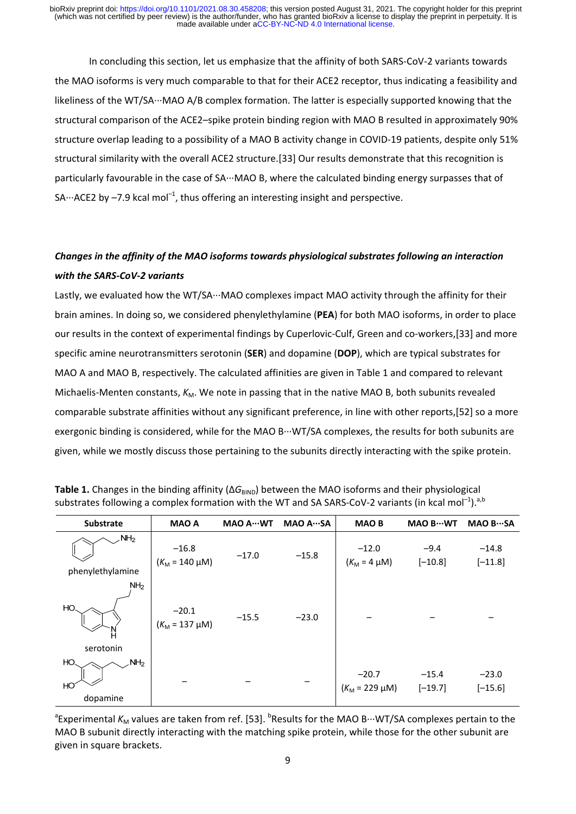In concluding this section, let us emphasize that the affinity of both SARS‐CoV‐2 variants towards the MAO isoforms is very much comparable to that for their ACE2 receptor, thus indicating a feasibility and likeliness of the WT/SA∙∙∙MAO A/B complex formation. The latter is especially supported knowing that the structural comparison of the ACE2–spike protein binding region with MAO B resulted in approximately 90% structure overlap leading to a possibility of a MAO B activity change in COVID-19 patients, despite only 51% structural similarity with the overall ACE2 structure.[33] Our results demonstrate that this recognition is particularly favourable in the case of SA∙∙∙MAO B, where the calculated binding energy surpasses that of SA…ACE2 by –7.9 kcal mol<sup>-1</sup>, thus offering an interesting insight and perspective.

## *Changes in the affinity of the MAO isoforms towards physiological substrates following an interaction with the SARS‐CoV‐2 variants*

Lastly, we evaluated how the WT/SA∙∙∙MAO complexes impact MAO activity through the affinity for their brain amines. In doing so, we considered phenylethylamine (**PEA**) for both MAO isoforms, in order to place our results in the context of experimental findings by Cuperlovic‐Culf, Green and co‐workers,[33] and more specific amine neurotransmitters serotonin (**SER**) and dopamine (**DOP**), which are typical substrates for MAO A and MAO B, respectively. The calculated affinities are given in Table 1 and compared to relevant Michaelis-Menten constants,  $K_M$ . We note in passing that in the native MAO B, both subunits revealed comparable substrate affinities without any significant preference, in line with other reports,[52] so a more exergonic binding is considered, while for the MAO B⋅⋅⋅WT/SA complexes, the results for both subunits are given, while we mostly discuss those pertaining to the subunits directly interacting with the spike protein.

| Substrate                                        | <b>MAO A</b>                   | MAO A ··· WT | MAO ASA | <b>MAOB</b>                    | MAO B ··· WT         | MAO BSA              |
|--------------------------------------------------|--------------------------------|--------------|---------|--------------------------------|----------------------|----------------------|
| $\mathcal{M}$ H <sub>2</sub><br>phenylethylamine | $-16.8$<br>$(K_M = 140 \mu M)$ | $-17.0$      | $-15.8$ | $-12.0$<br>$(K_M = 4 \mu M)$   | $-9.4$<br>$[-10.8]$  | $-14.8$<br>$[-11.8]$ |
| NH <sub>2</sub><br>HO.<br>Ν<br>serotonin         | $-20.1$<br>$(K_M = 137 \mu M)$ | $-15.5$      | $-23.0$ |                                |                      |                      |
| HO.<br>NH <sub>2</sub><br>HO<br>dopamine         |                                |              |         | $-20.7$<br>$(K_M = 229 \mu M)$ | $-15.4$<br>$[-19.7]$ | $-23.0$<br>$[-15.6]$ |

| <b>Table 1.</b> Changes in the binding affinity ( $\Delta G_{\text{BIND}}$ ) between the MAO isoforms and their physiological |  |
|-------------------------------------------------------------------------------------------------------------------------------|--|
| substrates following a complex formation with the WT and SA SARS-CoV-2 variants (in kcal mol <sup>-1</sup> ). <sup>a,b</sup>  |  |

<sup>a</sup>Experimental *K*<sub>M</sub> values are taken from ref. [53]. <sup>b</sup>Results for the MAO B…WT/SA complexes pertain to the MAO B subunit directly interacting with the matching spike protein, while those for the other subunit are given in square brackets.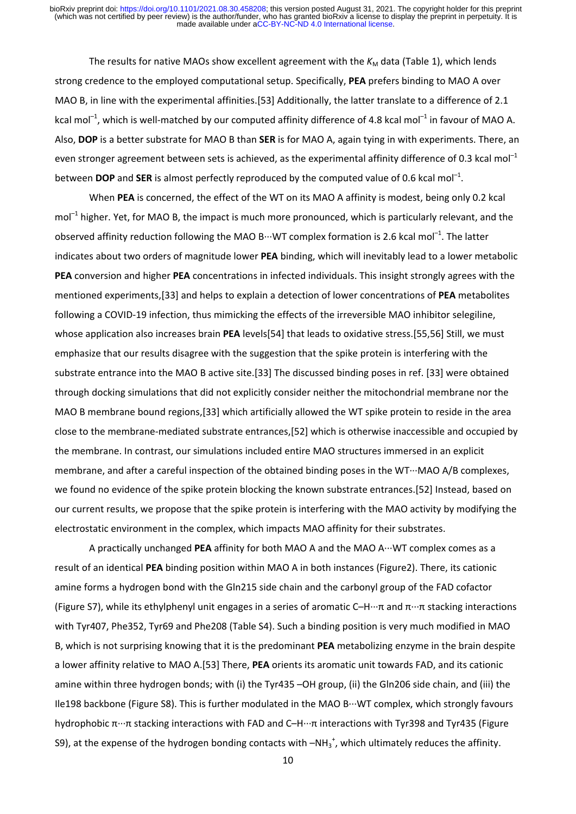The results for native MAOs show excellent agreement with the  $K_M$  data (Table 1), which lends strong credence to the employed computational setup. Specifically, **PEA** prefers binding to MAO A over MAO B, in line with the experimental affinities.[53] Additionally, the latter translate to a difference of 2.1 kcal mol<sup>-1</sup>, which is well-matched by our computed affinity difference of 4.8 kcal mol<sup>-1</sup> in favour of MAO A. Also, **DOP** is a better substrate for MAO B than **SER** is for MAO A, again tying in with experiments. There, an even stronger agreement between sets is achieved, as the experimental affinity difference of 0.3 kcal mol<sup>-1</sup> between **DOP** and **SER** is almost perfectly reproduced by the computed value of 0.6 kcal mol<sup>-1</sup>.

When **PEA** is concerned, the effect of the WT on its MAO A affinity is modest, being only 0.2 kcal  $mol<sup>-1</sup>$  higher. Yet, for MAO B, the impact is much more pronounced, which is particularly relevant, and the observed affinity reduction following the MAO B∙∙∙WT complex formation is 2.6 kcal mol–1. The latter indicates about two orders of magnitude lower **PEA** binding, which will inevitably lead to a lower metabolic **PEA** conversion and higher **PEA** concentrations in infected individuals. This insight strongly agrees with the mentioned experiments,[33] and helps to explain a detection of lower concentrations of **PEA** metabolites following a COVID-19 infection, thus mimicking the effects of the irreversible MAO inhibitor selegiline, whose application also increases brain **PEA** levels[54] that leads to oxidative stress.[55,56] Still, we must emphasize that our results disagree with the suggestion that the spike protein is interfering with the substrate entrance into the MAO B active site.[33] The discussed binding poses in ref. [33] were obtained through docking simulations that did not explicitly consider neither the mitochondrial membrane nor the MAO B membrane bound regions,[33] which artificially allowed the WT spike protein to reside in the area close to the membrane‐mediated substrate entrances,[52] which is otherwise inaccessible and occupied by the membrane. In contrast, our simulations included entire MAO structures immersed in an explicit membrane, and after a careful inspection of the obtained binding poses in the WT…MAO A/B complexes, we found no evidence of the spike protein blocking the known substrate entrances.[52] Instead, based on our current results, we propose that the spike protein is interfering with the MAO activity by modifying the electrostatic environment in the complex, which impacts MAO affinity for their substrates.

A practically unchanged **PEA** affinity for both MAO A and the MAO A∙∙∙WT complex comes as a result of an identical **PEA** binding position within MAO A in both instances (Figure2). There, its cationic amine forms a hydrogen bond with the Gln215 side chain and the carbonyl group of the FAD cofactor (Figure S7), while its ethylphenyl unit engages in a series of aromatic C–H∙∙∙π and π∙∙∙π stacking interactions with Tyr407, Phe352, Tyr69 and Phe208 (Table S4). Such a binding position is very much modified in MAO B, which is not surprising knowing that it is the predominant **PEA** metabolizing enzyme in the brain despite a lower affinity relative to MAO A.[53] There, **PEA** orients its aromatic unit towards FAD, and its cationic amine within three hydrogen bonds; with (i) the Tyr435 –OH group, (ii) the Gln206 side chain, and (iii) the Ile198 backbone (Figure S8). This is further modulated in the MAO B∙∙∙WT complex, which strongly favours hydrophobic π∙∙∙π stacking interactions with FAD and C–H∙∙∙π interactions with Tyr398 and Tyr435 (Figure S9), at the expense of the hydrogen bonding contacts with  $-NH_3^+$ , which ultimately reduces the affinity.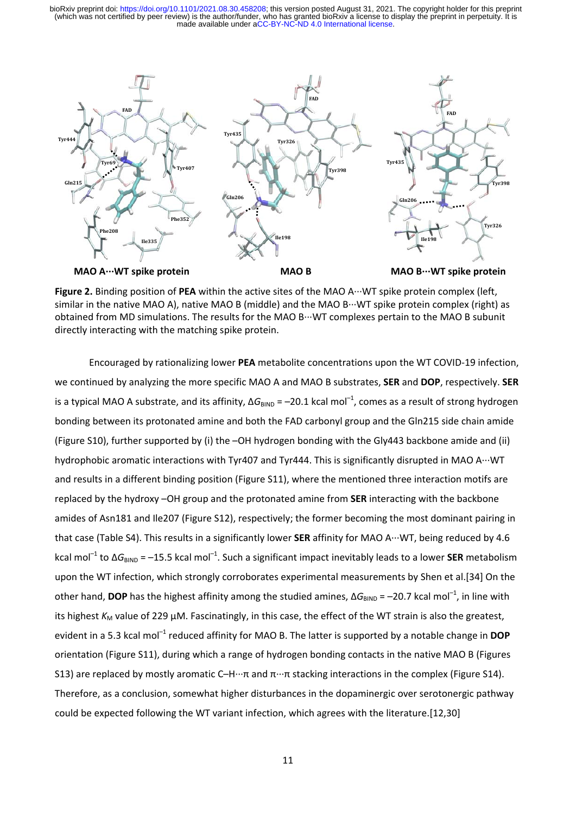

**Figure 2.** Binding position of **PEA** within the active sites of the MAO A∙∙∙WT spike protein complex (left, similar in the native MAO A), native MAO B (middle) and the MAO B∙∙∙WT spike protein complex (right) as obtained from MD simulations. The results for the MAO B∙∙∙WT complexes pertain to the MAO B subunit directly interacting with the matching spike protein.

Encouraged by rationalizing lower **PEA** metabolite concentrations upon the WT COVID‐19 infection, we continued by analyzing the more specific MAO A and MAO B substrates, **SER** and **DOP**, respectively. **SER** is a typical MAO A substrate, and its affinity,  $\Delta G_{\text{BIND}} = -20.1$  kcal mol<sup>-1</sup>, comes as a result of strong hydrogen bonding between its protonated amine and both the FAD carbonyl group and the Gln215 side chain amide (Figure S10), further supported by (i) the –OH hydrogen bonding with the Gly443 backbone amide and (ii) hydrophobic aromatic interactions with Tyr407 and Tyr444. This is significantly disrupted in MAO A∙∙∙WT and results in a different binding position (Figure S11), where the mentioned three interaction motifs are replaced by the hydroxy –OH group and the protonated amine from **SER** interacting with the backbone amides of Asn181 and Ile207 (Figure S12), respectively; the former becoming the most dominant pairing in that case (Table S4). This results in a significantly lower **SER** affinity for MAO A∙∙∙WT, being reduced by 4.6 kcal mol<sup>-1</sup> to Δ*G*<sub>BIND</sub> = –15.5 kcal mol<sup>-1</sup>. Such a significant impact inevitably leads to a lower **SER** metabolism upon the WT infection, which strongly corroborates experimental measurements by Shen et al.[34] On the other hand, **DOP** has the highest affinity among the studied amines,  $\Delta G_{BIND} = -20.7$  kcal mol<sup>-1</sup>, in line with its highest *K*<sub>M</sub> value of 229 μM. Fascinatingly, in this case, the effect of the WT strain is also the greatest, evident in a 5.3 kcal mol<sup>-1</sup> reduced affinity for MAO B. The latter is supported by a notable change in **DOP** orientation (Figure S11), during which a range of hydrogen bonding contacts in the native MAO B (Figures S13) are replaced by mostly aromatic C–H…π and π…π stacking interactions in the complex (Figure S14). Therefore, as a conclusion, somewhat higher disturbances in the dopaminergic over serotonergic pathway could be expected following the WT variant infection, which agrees with the literature.[12,30]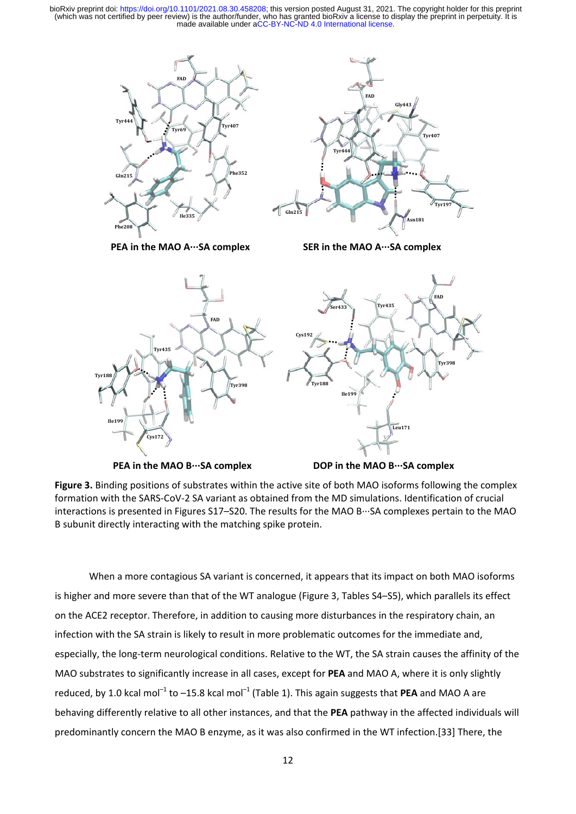



**PEA in the MAO A∙∙∙SA complex SER in the MAO A∙∙∙SA complex**





**Figure 3.** Binding positions of substrates within the active site of both MAO isoforms following the complex formation with the SARS‐CoV‐2 SA variant as obtained from the MD simulations. Identification of crucial interactions is presented in Figures S17–S20. The results for the MAO B∙∙∙SA complexes pertain to the MAO B subunit directly interacting with the matching spike protein.

When a more contagious SA variant is concerned, it appears that its impact on both MAO isoforms is higher and more severe than that of the WT analogue (Figure 3, Tables S4–S5), which parallels its effect on the ACE2 receptor. Therefore, in addition to causing more disturbances in the respiratory chain, an infection with the SA strain is likely to result in more problematic outcomes for the immediate and, especially, the long-term neurological conditions. Relative to the WT, the SA strain causes the affinity of the MAO substrates to significantly increase in all cases, except for **PEA** and MAO A, where it is only slightly reduced, by 1.0 kcal mol<sup>-1</sup> to  $-15.8$  kcal mol<sup>-1</sup> (Table 1). This again suggests that **PEA** and MAO A are behaving differently relative to all other instances, and that the **PEA** pathway in the affected individuals will predominantly concern the MAO B enzyme, as it was also confirmed in the WT infection.[33] There, the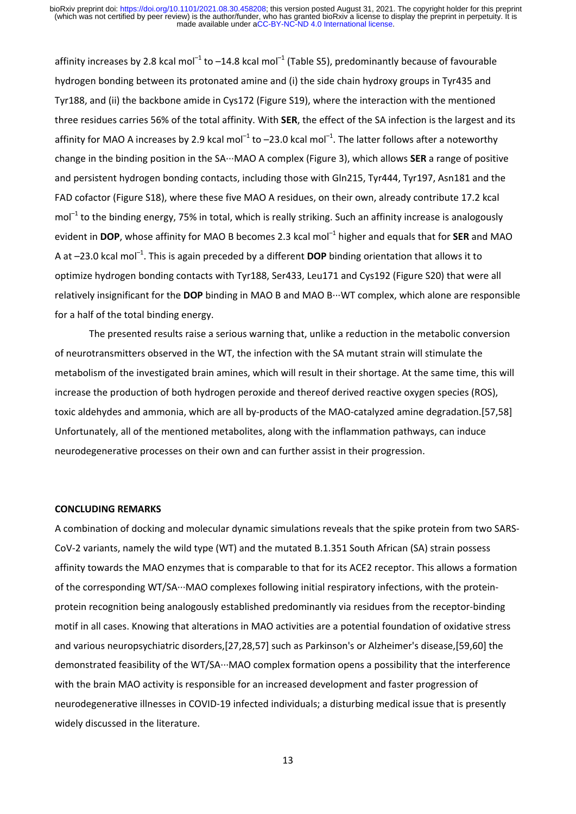affinity increases by 2.8 kcal mol<sup>-1</sup> to -14.8 kcal mol<sup>-1</sup> (Table S5), predominantly because of favourable hydrogen bonding between its protonated amine and (i) the side chain hydroxy groups in Tyr435 and Tyr188, and (ii) the backbone amide in Cys172 (Figure S19), where the interaction with the mentioned three residues carries 56% of the total affinity. With **SER**, the effect of the SA infection is the largest and its affinity for MAO A increases by 2.9 kcal mol<sup>-1</sup> to  $-23.0$  kcal mol<sup>-1</sup>. The latter follows after a noteworthy change in the binding position in the SA∙∙∙MAO A complex (Figure 3), which allows **SER** a range of positive and persistent hydrogen bonding contacts, including those with Gln215, Tyr444, Tyr197, Asn181 and the FAD cofactor (Figure S18), where these five MAO A residues, on their own, already contribute 17.2 kcal  $mol<sup>-1</sup>$  to the binding energy, 75% in total, which is really striking. Such an affinity increase is analogously evident in **DOP**, whose affinity for MAO B becomes 2.3 kcal mol–1 higher and equals that for **SER** and MAO A at -23.0 kcal mol<sup>-1</sup>. This is again preceded by a different **DOP** binding orientation that allows it to optimize hydrogen bonding contacts with Tyr188, Ser433, Leu171 and Cys192 (Figure S20) that were all relatively insignificant for the **DOP** binding in MAO B and MAO B∙∙∙WT complex, which alone are responsible for a half of the total binding energy.

The presented results raise a serious warning that, unlike a reduction in the metabolic conversion of neurotransmitters observed in the WT, the infection with the SA mutant strain will stimulate the metabolism of the investigated brain amines, which will result in their shortage. At the same time, this will increase the production of both hydrogen peroxide and thereof derived reactive oxygen species (ROS), toxic aldehydes and ammonia, which are all by‐products of the MAO‐catalyzed amine degradation.[57,58] Unfortunately, all of the mentioned metabolites, along with the inflammation pathways, can induce neurodegenerative processes on their own and can further assist in their progression.

### **CONCLUDING REMARKS**

A combination of docking and molecular dynamic simulations reveals that the spike protein from two SARS‐ CoV-2 variants, namely the wild type (WT) and the mutated B.1.351 South African (SA) strain possess affinity towards the MAO enzymes that is comparable to that for its ACE2 receptor. This allows a formation of the corresponding WT/SA∙∙∙MAO complexes following initial respiratory infections, with the protein‐ protein recognition being analogously established predominantly via residues from the receptor‐binding motif in all cases. Knowing that alterations in MAO activities are a potential foundation of oxidative stress and various neuropsychiatric disorders,[27,28,57] such as Parkinson's or Alzheimer's disease,[59,60] the demonstrated feasibility of the WT/SA∙∙∙MAO complex formation opens a possibility that the interference with the brain MAO activity is responsible for an increased development and faster progression of neurodegenerative illnesses in COVID‐19 infected individuals; a disturbing medical issue that is presently widely discussed in the literature.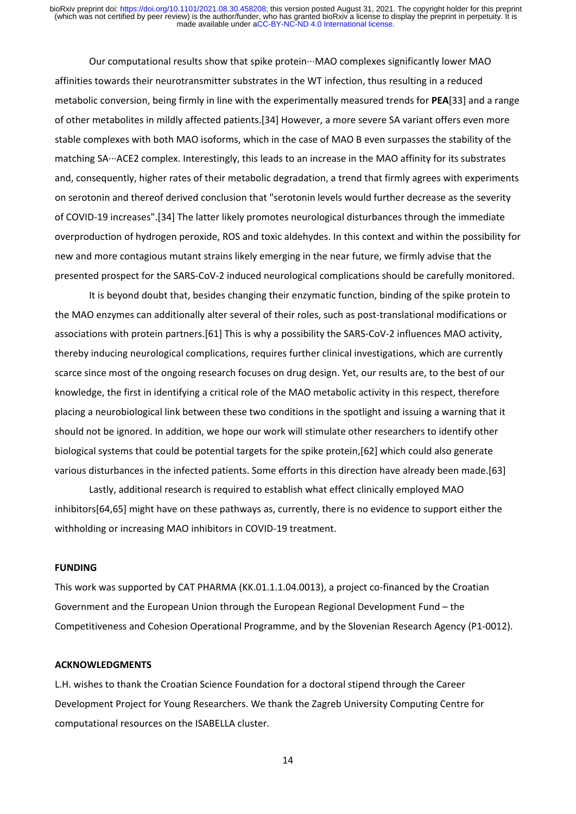Our computational results show that spike protein∙∙∙MAO complexes significantly lower MAO affinities towards their neurotransmitter substrates in the WT infection, thus resulting in a reduced metabolic conversion, being firmly in line with the experimentally measured trends for **PEA**[33] and a range of other metabolites in mildly affected patients.[34] However, a more severe SA variant offers even more stable complexes with both MAO isoforms, which in the case of MAO B even surpasses the stability of the matching SA∙∙∙ACE2 complex. Interestingly, this leads to an increase in the MAO affinity for its substrates and, consequently, higher rates of their metabolic degradation, a trend that firmly agrees with experiments on serotonin and thereof derived conclusion that "serotonin levels would further decrease as the severity of COVID‐19 increases".[34] The latter likely promotes neurological disturbances through the immediate overproduction of hydrogen peroxide, ROS and toxic aldehydes. In this context and within the possibility for new and more contagious mutant strains likely emerging in the near future, we firmly advise that the presented prospect for the SARS‐CoV‐2 induced neurological complications should be carefully monitored.

It is beyond doubt that, besides changing their enzymatic function, binding of the spike protein to the MAO enzymes can additionally alter several of their roles, such as post-translational modifications or associations with protein partners.[61] This is why a possibility the SARS‐CoV‐2 influences MAO activity, thereby inducing neurological complications, requires further clinical investigations, which are currently scarce since most of the ongoing research focuses on drug design. Yet, our results are, to the best of our knowledge, the first in identifying a critical role of the MAO metabolic activity in this respect, therefore placing a neurobiological link between these two conditions in the spotlight and issuing a warning that it should not be ignored. In addition, we hope our work will stimulate other researchers to identify other biological systems that could be potential targets for the spike protein,[62] which could also generate various disturbances in the infected patients. Some efforts in this direction have already been made.[63]

Lastly, additional research is required to establish what effect clinically employed MAO inhibitors[64,65] might have on these pathways as, currently, there is no evidence to support either the withholding or increasing MAO inhibitors in COVID‐19 treatment.

### **FUNDING**

This work was supported by CAT PHARMA (KK.01.1.1.04.0013), a project co-financed by the Croatian Government and the European Union through the European Regional Development Fund – the Competitiveness and Cohesion Operational Programme, and by the Slovenian Research Agency (P1‐0012).

### **ACKNOWLEDGMENTS**

L.H. wishes to thank the Croatian Science Foundation for a doctoral stipend through the Career Development Project for Young Researchers. We thank the Zagreb University Computing Centre for computational resources on the ISABELLA cluster.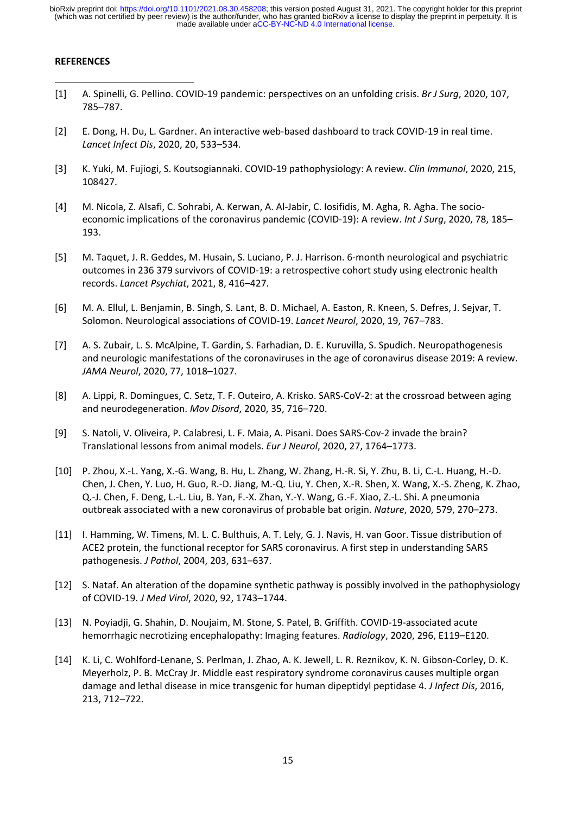### **REFERENCES**

- [1] A. Spinelli, G. Pellino. COVID‐19 pandemic: perspectives on an unfolding crisis. *Br J Surg*, 2020, 107, 785–787.
- [2] E. Dong, H. Du, L. Gardner. An interactive web‐based dashboard to track COVID‐19 in real time. *Lancet Infect Dis*, 2020, 20, 533–534.
- [3] K. Yuki, M. Fujiogi, S. Koutsogiannaki. COVID‐19 pathophysiology: A review. *Clin Immunol*, 2020, 215, 108427.
- [4] M. Nicola, Z. Alsafi, C. Sohrabi, A. Kerwan, A. Al‐Jabir, C. Iosifidis, M. Agha, R. Agha. The socio‐ economic implications of the coronavirus pandemic (COVID‐19): A review. *Int J Surg*, 2020, 78, 185– 193.
- [5] M. Taquet, J. R. Geddes, M. Husain, S. Luciano, P. J. Harrison. 6‐month neurological and psychiatric outcomes in 236 379 survivors of COVID‐19: a retrospective cohort study using electronic health records. *Lancet Psychiat*, 2021, 8, 416–427.
- [6] M. A. Ellul, L. Benjamin, B. Singh, S. Lant, B. D. Michael, A. Easton, R. Kneen, S. Defres, J. Sejvar, T. Solomon. Neurological associations of COVID‐19. *Lancet Neurol*, 2020, 19, 767–783.
- [7] A. S. Zubair, L. S. McAlpine, T. Gardin, S. Farhadian, D. E. Kuruvilla, S. Spudich. Neuropathogenesis and neurologic manifestations of the coronaviruses in the age of coronavirus disease 2019: A review. *JAMA Neurol*, 2020, 77, 1018–1027.
- [8] A. Lippi, R. Domingues, C. Setz, T. F. Outeiro, A. Krisko. SARS‐CoV‐2: at the crossroad between aging and neurodegeneration. *Mov Disord*, 2020, 35, 716–720.
- [9] S. Natoli, V. Oliveira, P. Calabresi, L. F. Maia, A. Pisani. Does SARS‐Cov‐2 invade the brain? Translational lessons from animal models. *Eur J Neurol*, 2020, 27, 1764–1773.
- [10] P. Zhou, X.‐L. Yang, X.‐G. Wang, B. Hu, L. Zhang, W. Zhang, H.‐R. Si, Y. Zhu, B. Li, C.‐L. Huang, H.‐D. Chen, J. Chen, Y. Luo, H. Guo, R.‐D. Jiang, M.‐Q. Liu, Y. Chen, X.‐R. Shen, X. Wang, X.‐S. Zheng, K. Zhao, Q.‐J. Chen, F. Deng, L.‐L. Liu, B. Yan, F.‐X. Zhan, Y.‐Y. Wang, G.‐F. Xiao, Z.‐L. Shi. A pneumonia outbreak associated with a new coronavirus of probable bat origin. *Nature*, 2020, 579, 270–273.
- [11] I. Hamming, W. Timens, M. L. C. Bulthuis, A. T. Lely, G. J. Navis, H. van Goor. Tissue distribution of ACE2 protein, the functional receptor for SARS coronavirus. A first step in understanding SARS pathogenesis. *J Pathol*, 2004, 203, 631–637.
- [12] S. Nataf. An alteration of the dopamine synthetic pathway is possibly involved in the pathophysiology of COVID‐19. *J Med Virol*, 2020, 92, 1743–1744.
- [13] N. Poyiadji, G. Shahin, D. Noujaim, M. Stone, S. Patel, B. Griffith. COVID‐19‐associated acute hemorrhagic necrotizing encephalopathy: Imaging features. *Radiology*, 2020, 296, E119–E120.
- [14] K. Li, C. Wohlford‐Lenane, S. Perlman, J. Zhao, A. K. Jewell, L. R. Reznikov, K. N. Gibson‐Corley, D. K. Meyerholz, P. B. McCray Jr. Middle east respiratory syndrome coronavirus causes multiple organ damage and lethal disease in mice transgenic for human dipeptidyl peptidase 4. *J Infect Dis*, 2016, 213, 712–722.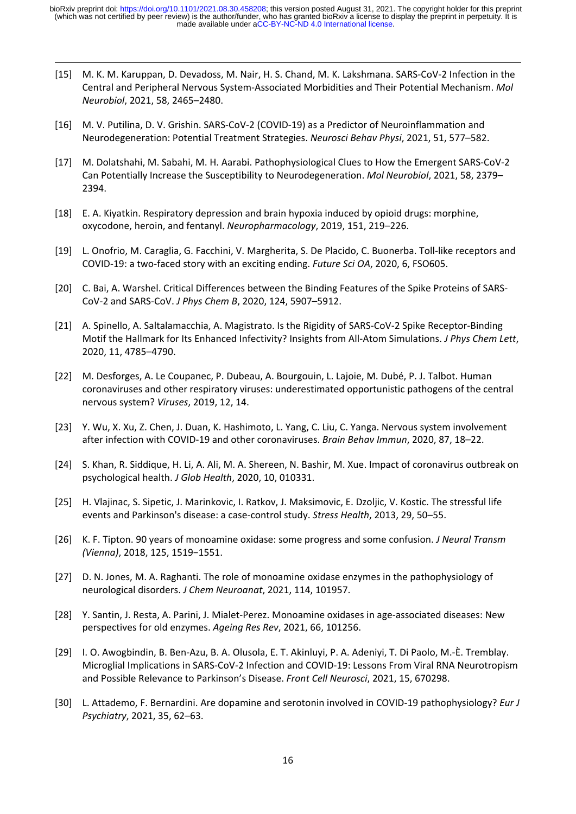[15] M. K. M. Karuppan, D. Devadoss, M. Nair, H. S. Chand, M. K. Lakshmana. SARS‐CoV‐2 Infection in the Central and Peripheral Nervous System‐Associated Morbidities and Their Potential Mechanism. *Mol Neurobiol*, 2021, 58, 2465–2480.

- [16] M. V. Putilina, D. V. Grishin. SARS‐CoV‐2 (COVID‐19) as a Predictor of Neuroinflammation and Neurodegeneration: Potential Treatment Strategies. *Neurosci Behav Physi*, 2021, 51, 577–582.
- [17] M. Dolatshahi, M. Sabahi, M. H. Aarabi. Pathophysiological Clues to How the Emergent SARS‐CoV‐2 Can Potentially Increase the Susceptibility to Neurodegeneration. *Mol Neurobiol*, 2021, 58, 2379– 2394.
- [18] E. A. Kiyatkin. Respiratory depression and brain hypoxia induced by opioid drugs: morphine, oxycodone, heroin, and fentanyl. *Neuropharmacology*, 2019, 151, 219–226.
- [19] L. Onofrio, M. Caraglia, G. Facchini, V. Margherita, S. De Placido, C. Buonerba. Toll‐like receptors and COVID‐19: a two‐faced story with an exciting ending. *Future Sci OA*, 2020, 6, FSO605.
- [20] C. Bai, A. Warshel. Critical Differences between the Binding Features of the Spike Proteins of SARS‐ CoV‐2 and SARS‐CoV. *J Phys Chem B*, 2020, 124, 5907–5912.
- [21] A. Spinello, A. Saltalamacchia, A. Magistrato. Is the Rigidity of SARS‐CoV‐2 Spike Receptor‐Binding Motif the Hallmark for Its Enhanced Infectivity? Insights from All‐Atom Simulations. *J Phys Chem Lett*, 2020, 11, 4785–4790.
- [22] M. Desforges, A. Le Coupanec, P. Dubeau, A. Bourgouin, L. Lajoie, M. Dubé, P. J. Talbot. Human coronaviruses and other respiratory viruses: underestimated opportunistic pathogens of the central nervous system? *Viruses*, 2019, 12, 14.
- [23] Y. Wu, X. Xu, Z. Chen, J. Duan, K. Hashimoto, L. Yang, C. Liu, C. Yanga. Nervous system involvement after infection with COVID‐19 and other coronaviruses. *Brain Behav Immun*, 2020, 87, 18–22.
- [24] S. Khan, R. Siddique, H. Li, A. Ali, M. A. Shereen, N. Bashir, M. Xue. Impact of coronavirus outbreak on psychological health. *J Glob Health*, 2020, 10, 010331.
- [25] H. Vlajinac, S. Sipetic, J. Marinkovic, I. Ratkov, J. Maksimovic, E. Dzoljic, V. Kostic. The stressful life events and Parkinson's disease: a case‐control study. *Stress Health*, 2013, 29, 50–55.
- [26] K. F. Tipton. 90 years of monoamine oxidase: some progress and some confusion. *J Neural Transm (Vienna)*, 2018, 125, 1519−1551.
- [27] D. N. Jones, M. A. Raghanti. The role of monoamine oxidase enzymes in the pathophysiology of neurological disorders. *J Chem Neuroanat*, 2021, 114, 101957.
- [28] Y. Santin, J. Resta, A. Parini, J. Mialet‐Perez. Monoamine oxidases in age‐associated diseases: New perspectives for old enzymes. *Ageing Res Rev*, 2021, 66, 101256.
- [29] I. O. Awogbindin, B. Ben‐Azu, B. A. Olusola, E. T. Akinluyi, P. A. Adeniyi, T. Di Paolo, M.‐È. Tremblay. Microglial Implications in SARS‐CoV‐2 Infection and COVID‐19: Lessons From Viral RNA Neurotropism and Possible Relevance to Parkinson's Disease. *Front Cell Neurosci*, 2021, 15, 670298.
- [30] L. Attademo, F. Bernardini. Are dopamine and serotonin involved in COVID‐19 pathophysiology? *Eur J Psychiatry*, 2021, 35, 62–63.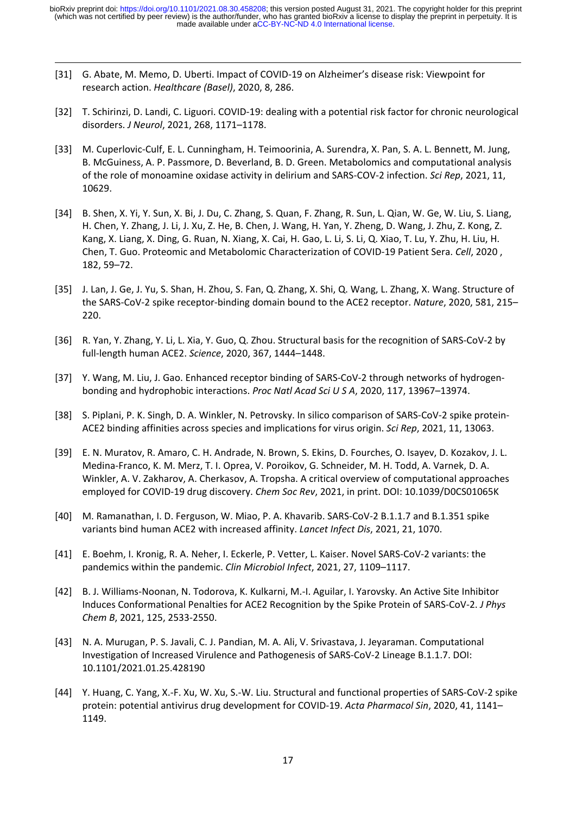- [31] G. Abate, M. Memo, D. Uberti. Impact of COVID-19 on Alzheimer's disease risk: Viewpoint for research action. *Healthcare (Basel)*, 2020, 8, 286.
- [32] T. Schirinzi, D. Landi, C. Liguori. COVID-19: dealing with a potential risk factor for chronic neurological disorders. *J Neurol*, 2021, 268, 1171–1178.
- [33] M. Cuperlovic‐Culf, E. L. Cunningham, H. Teimoorinia, A. Surendra, X. Pan, S. A. L. Bennett, M. Jung, B. McGuiness, A. P. Passmore, D. Beverland, B. D. Green. Metabolomics and computational analysis of the role of monoamine oxidase activity in delirium and SARS‐COV‐2 infection. *Sci Rep*, 2021, 11, 10629.
- [34] B. Shen, X. Yi, Y. Sun, X. Bi, J. Du, C. Zhang, S. Quan, F. Zhang, R. Sun, L. Qian, W. Ge, W. Liu, S. Liang, H. Chen, Y. Zhang, J. Li, J. Xu, Z. He, B. Chen, J. Wang, H. Yan, Y. Zheng, D. Wang, J. Zhu, Z. Kong, Z. Kang, X. Liang, X. Ding, G. Ruan, N. Xiang, X. Cai, H. Gao, L. Li, S. Li, Q. Xiao, T. Lu, Y. Zhu, H. Liu, H. Chen, T. Guo. Proteomic and Metabolomic Characterization of COVID‐19 Patient Sera. *Cell*, 2020 , 182, 59–72.
- [35] J. Lan, J. Ge, J. Yu, S. Shan, H. Zhou, S. Fan, Q. Zhang, X. Shi, Q. Wang, L. Zhang, X. Wang. Structure of the SARS‐CoV‐2 spike receptor‐binding domain bound to the ACE2 receptor. *Nature*, 2020, 581, 215– 220.
- [36] R. Yan, Y. Zhang, Y. Li, L. Xia, Y. Guo, Q. Zhou. Structural basis for the recognition of SARS‐CoV‐2 by full‐length human ACE2. *Science*, 2020, 367, 1444–1448.
- [37] Y. Wang, M. Liu, J. Gao. Enhanced receptor binding of SARS-CoV-2 through networks of hydrogenbonding and hydrophobic interactions. *Proc Natl Acad Sci U S A*, 2020, 117, 13967–13974.
- [38] S. Piplani, P. K. Singh, D. A. Winkler, N. Petrovsky. In silico comparison of SARS‐CoV‐2 spike protein‐ ACE2 binding affinities across species and implications for virus origin. *Sci Rep*, 2021, 11, 13063.
- [39] E. N. Muratov, R. Amaro, C. H. Andrade, N. Brown, S. Ekins, D. Fourches, O. Isayev, D. Kozakov, J. L. Medina‐Franco, K. M. Merz, T. I. Oprea, V. Poroikov, G. Schneider, M. H. Todd, A. Varnek, D. A. Winkler, A. V. Zakharov, A. Cherkasov, A. Tropsha. A critical overview of computational approaches employed for COVID‐19 drug discovery. *Chem Soc Rev*, 2021, in print. DOI: 10.1039/D0CS01065K
- [40] M. Ramanathan, I. D. Ferguson, W. Miao, P. A. Khavarib. SARS‐CoV‐2 B.1.1.7 and B.1.351 spike variants bind human ACE2 with increased affinity. *Lancet Infect Dis*, 2021, 21, 1070.
- [41] E. Boehm, I. Kronig, R. A. Neher, I. Eckerle, P. Vetter, L. Kaiser. Novel SARS‐CoV‐2 variants: the pandemics within the pandemic. *Clin Microbiol Infect*, 2021, 27, 1109–1117.
- [42] B. J. Williams‐Noonan, N. Todorova, K. Kulkarni, M.‐I. Aguilar, I. Yarovsky. An Active Site Inhibitor Induces Conformational Penalties for ACE2 Recognition by the Spike Protein of SARS‐CoV‐2. *J Phys Chem B*, 2021, 125, 2533‐2550.
- [43] N. A. Murugan, P. S. Javali, C. J. Pandian, M. A. Ali, V. Srivastava, J. Jeyaraman. Computational Investigation of Increased Virulence and Pathogenesis of SARS‐CoV‐2 Lineage B.1.1.7. DOI: 10.1101/2021.01.25.428190
- [44] Y. Huang, C. Yang, X.‐F. Xu, W. Xu, S.‐W. Liu. Structural and functional properties of SARS‐CoV‐2 spike protein: potential antivirus drug development for COVID‐19. *Acta Pharmacol Sin*, 2020, 41, 1141– 1149.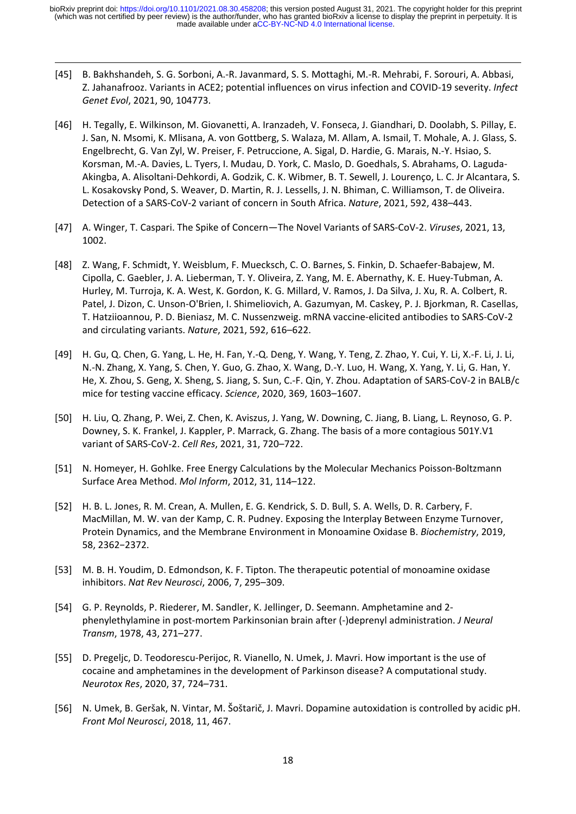[45] B. Bakhshandeh, S. G. Sorboni, A.‐R. Javanmard, S. S. Mottaghi, M.‐R. Mehrabi, F. Sorouri, A. Abbasi, Z. Jahanafrooz. Variants in ACE2; potential influences on virus infection and COVID‐19 severity. *Infect Genet Evol*, 2021, 90, 104773.

- [46] H. Tegally, E. Wilkinson, M. Giovanetti, A. Iranzadeh, V. Fonseca, J. Giandhari, D. Doolabh, S. Pillay, E. J. San, N. Msomi, K. Mlisana, A. von Gottberg, S. Walaza, M. Allam, A. Ismail, T. Mohale, A. J. Glass, S. Engelbrecht, G. Van Zyl, W. Preiser, F. Petruccione, A. Sigal, D. Hardie, G. Marais, N.‐Y. Hsiao, S. Korsman, M.‐A. Davies, L. Tyers, I. Mudau, D. York, C. Maslo, D. Goedhals, S. Abrahams, O. Laguda‐ Akingba, A. Alisoltani‐Dehkordi, A. Godzik, C. K. Wibmer, B. T. Sewell, J. Lourenço, L. C. Jr Alcantara, S. L. Kosakovsky Pond, S. Weaver, D. Martin, R. J. Lessells, J. N. Bhiman, C. Williamson, T. de Oliveira. Detection of a SARS‐CoV‐2 variant of concern in South Africa. *Nature*, 2021, 592, 438–443.
- [47] A. Winger, T. Caspari. The Spike of Concern—The Novel Variants of SARS‐CoV‐2. *Viruses*, 2021, 13, 1002.
- [48] Z. Wang, F. Schmidt, Y. Weisblum, F. Muecksch, C. O. Barnes, S. Finkin, D. Schaefer‐Babajew, M. Cipolla, C. Gaebler, J. A. Lieberman, T. Y. Oliveira, Z. Yang, M. E. Abernathy, K. E. Huey‐Tubman, A. Hurley, M. Turroja, K. A. West, K. Gordon, K. G. Millard, V. Ramos, J. Da Silva, J. Xu, R. A. Colbert, R. Patel, J. Dizon, C. Unson‐O'Brien, I. Shimeliovich, A. Gazumyan, M. Caskey, P. J. Bjorkman, R. Casellas, T. Hatziioannou, P. D. Bieniasz, M. C. Nussenzweig. mRNA vaccine‐elicited antibodies to SARS‐CoV‐2 and circulating variants. *Nature*, 2021, 592, 616–622.
- [49] H. Gu, Q. Chen, G. Yang, L. He, H. Fan, Y.‐Q. Deng, Y. Wang, Y. Teng, Z. Zhao, Y. Cui, Y. Li, X.‐F. Li, J. Li, N.‐N. Zhang, X. Yang, S. Chen, Y. Guo, G. Zhao, X. Wang, D.‐Y. Luo, H. Wang, X. Yang, Y. Li, G. Han, Y. He, X. Zhou, S. Geng, X. Sheng, S. Jiang, S. Sun, C.‐F. Qin, Y. Zhou. Adaptation of SARS‐CoV‐2 in BALB/c mice for testing vaccine efficacy. *Science*, 2020, 369, 1603–1607.
- [50] H. Liu, Q. Zhang, P. Wei, Z. Chen, K. Aviszus, J. Yang, W. Downing, C. Jiang, B. Liang, L. Reynoso, G. P. Downey, S. K. Frankel, J. Kappler, P. Marrack, G. Zhang. The basis of a more contagious 501Y.V1 variant of SARS‐CoV‐2. *Cell Res*, 2021, 31, 720–722.
- [51] N. Homeyer, H. Gohlke. Free Energy Calculations by the Molecular Mechanics Poisson‐Boltzmann Surface Area Method. *Mol Inform*, 2012, 31, 114–122.
- [52] H. B. L. Jones, R. M. Crean, A. Mullen, E. G. Kendrick, S. D. Bull, S. A. Wells, D. R. Carbery, F. MacMillan, M. W. van der Kamp, C. R. Pudney. Exposing the Interplay Between Enzyme Turnover, Protein Dynamics, and the Membrane Environment in Monoamine Oxidase B. *Biochemistry*, 2019, 58, 2362−2372.
- [53] M. B. H. Youdim, D. Edmondson, K. F. Tipton. The therapeutic potential of monoamine oxidase inhibitors. *Nat Rev Neurosci*, 2006, 7, 295–309.
- [54] G. P. Reynolds, P. Riederer, M. Sandler, K. Jellinger, D. Seemann. Amphetamine and 2‐ phenylethylamine in post‐mortem Parkinsonian brain after (‐)deprenyl administration. *J Neural Transm*, 1978, 43, 271–277.
- [55] D. Pregeljc, D. Teodorescu‐Perijoc, R. Vianello, N. Umek, J. Mavri. How important is the use of cocaine and amphetamines in the development of Parkinson disease? A computational study. *Neurotox Res*, 2020, 37, 724–731.
- [56] N. Umek, B. Geršak, N. Vintar, M. Šoštarič, J. Mavri. Dopamine autoxidation is controlled by acidic pH. *Front Mol Neurosci*, 2018, 11, 467.